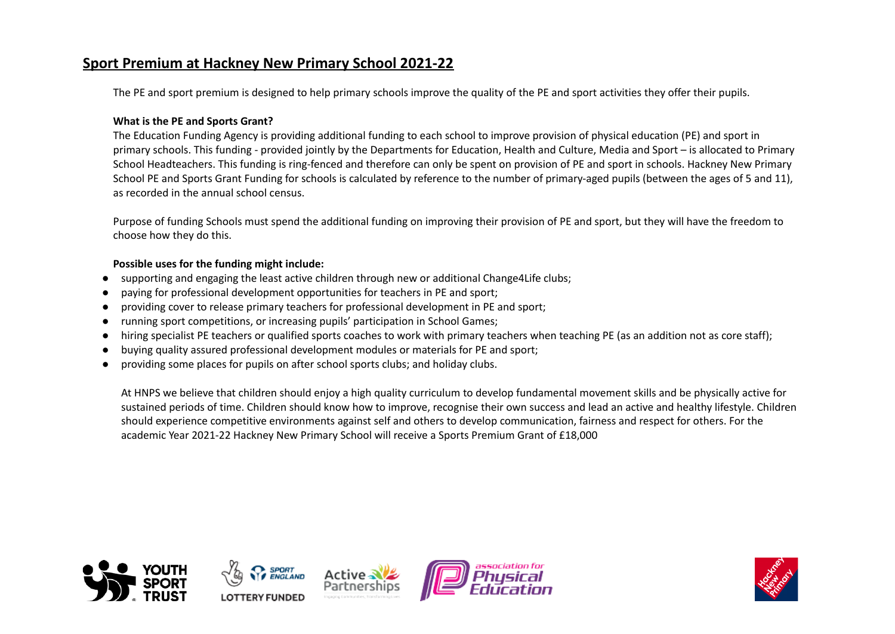## **Sport Premium at Hackney New Primary School 2021-22**

The PE and sport premium is designed to help primary schools improve the quality of the PE and sport activities they offer their pupils.

## **What is the PE and Sports Grant?**

The Education Funding Agency is providing additional funding to each school to improve provision of physical education (PE) and sport in primary schools. This funding - provided jointly by the Departments for Education, Health and Culture, Media and Sport – is allocated to Primary School Headteachers. This funding is ring-fenced and therefore can only be spent on provision of PE and sport in schools. Hackney New Primary School PE and Sports Grant Funding for schools is calculated by reference to the number of primary-aged pupils (between the ages of 5 and 11), as recorded in the annual school census.

Purpose of funding Schools must spend the additional funding on improving their provision of PE and sport, but they will have the freedom to choose how they do this.

## **Possible uses for the funding might include:**

- supporting and engaging the least active children through new or additional Change4Life clubs;
- paying for professional development opportunities for teachers in PE and sport;
- providing cover to release primary teachers for professional development in PE and sport;
- running sport competitions, or increasing pupils' participation in School Games;
- hiring specialist PE teachers or qualified sports coaches to work with primary teachers when teaching PE (as an addition not as core staff);
- buying quality assured professional development modules or materials for PE and sport;
- providing some places for pupils on after school sports clubs; and holiday clubs.

At HNPS we believe that children should enjoy a high quality curriculum to develop fundamental movement skills and be physically active for sustained periods of time. Children should know how to improve, recognise their own success and lead an active and healthy lifestyle. Children should experience competitive environments against self and others to develop communication, fairness and respect for others. For the academic Year 2021-22 Hackney New Primary School will receive a Sports Premium Grant of £18,000



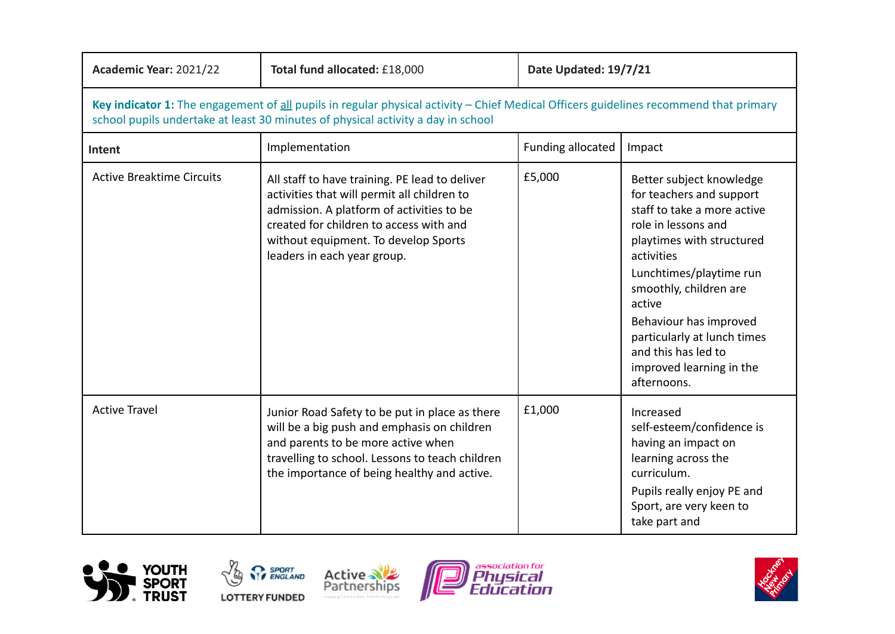| Academic Year: 2021/22                                                                                                                                                                                                    | Total fund allocated: £18,000                                                                                                                                                                                                                                | Date Updated: 19/7/21 |                                                                                                                                                                                                                                                                                                                                                 |
|---------------------------------------------------------------------------------------------------------------------------------------------------------------------------------------------------------------------------|--------------------------------------------------------------------------------------------------------------------------------------------------------------------------------------------------------------------------------------------------------------|-----------------------|-------------------------------------------------------------------------------------------------------------------------------------------------------------------------------------------------------------------------------------------------------------------------------------------------------------------------------------------------|
| Key indicator 1: The engagement of all pupils in regular physical activity - Chief Medical Officers guidelines recommend that primary<br>school pupils undertake at least 30 minutes of physical activity a day in school |                                                                                                                                                                                                                                                              |                       |                                                                                                                                                                                                                                                                                                                                                 |
| Intent                                                                                                                                                                                                                    | Implementation                                                                                                                                                                                                                                               | Funding allocated     | Impact                                                                                                                                                                                                                                                                                                                                          |
| <b>Active Breaktime Circuits</b>                                                                                                                                                                                          | All staff to have training. PE lead to deliver<br>activities that will permit all children to<br>admission. A platform of activities to be<br>created for children to access with and<br>without equipment. To develop Sports<br>leaders in each year group. | £5,000                | Better subject knowledge<br>for teachers and support<br>staff to take a more active<br>role in lessons and<br>playtimes with structured<br>activities<br>Lunchtimes/playtime run<br>smoothly, children are<br>active<br>Behaviour has improved<br>particularly at lunch times<br>and this has led to<br>improved learning in the<br>afternoons. |
| <b>Active Travel</b>                                                                                                                                                                                                      | Junior Road Safety to be put in place as there<br>will be a big push and emphasis on children<br>and parents to be more active when<br>travelling to school. Lessons to teach children<br>the importance of being healthy and active.                        | £1,000                | Increased<br>self-esteem/confidence is<br>having an impact on<br>learning across the<br>curriculum.<br>Pupils really enjoy PE and<br>Sport, are very keen to<br>take part and                                                                                                                                                                   |









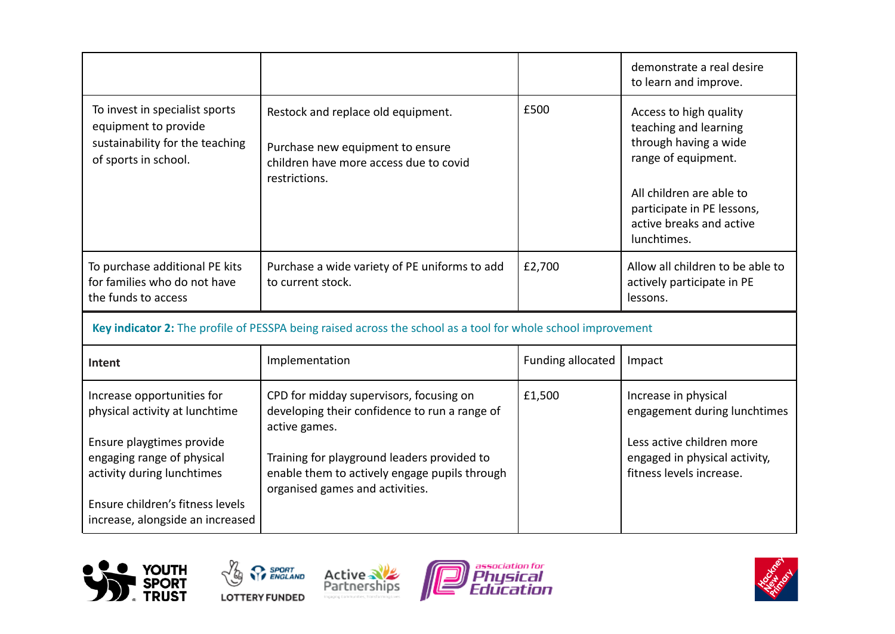|                                                                                                                                                                                                                               |                                                                                                                                                                                                                                              |                   | demonstrate a real desire<br>to learn and improve.                                                                                                                                                   |
|-------------------------------------------------------------------------------------------------------------------------------------------------------------------------------------------------------------------------------|----------------------------------------------------------------------------------------------------------------------------------------------------------------------------------------------------------------------------------------------|-------------------|------------------------------------------------------------------------------------------------------------------------------------------------------------------------------------------------------|
| To invest in specialist sports<br>equipment to provide<br>sustainability for the teaching<br>of sports in school.                                                                                                             | Restock and replace old equipment.<br>Purchase new equipment to ensure<br>children have more access due to covid<br>restrictions.                                                                                                            | £500              | Access to high quality<br>teaching and learning<br>through having a wide<br>range of equipment.<br>All children are able to<br>participate in PE lessons,<br>active breaks and active<br>lunchtimes. |
| To purchase additional PE kits<br>for families who do not have<br>the funds to access                                                                                                                                         | Purchase a wide variety of PE uniforms to add<br>to current stock.                                                                                                                                                                           | £2,700            | Allow all children to be able to<br>actively participate in PE<br>lessons.                                                                                                                           |
| Key indicator 2: The profile of PESSPA being raised across the school as a tool for whole school improvement                                                                                                                  |                                                                                                                                                                                                                                              |                   |                                                                                                                                                                                                      |
| <b>Intent</b>                                                                                                                                                                                                                 | Implementation                                                                                                                                                                                                                               | Funding allocated | Impact                                                                                                                                                                                               |
| Increase opportunities for<br>physical activity at lunchtime<br>Ensure playgtimes provide<br>engaging range of physical<br>activity during lunchtimes<br>Ensure children's fitness levels<br>increase, alongside an increased | CPD for midday supervisors, focusing on<br>developing their confidence to run a range of<br>active games.<br>Training for playground leaders provided to<br>enable them to actively engage pupils through<br>organised games and activities. | £1,500            | Increase in physical<br>engagement during lunchtimes<br>Less active children more<br>engaged in physical activity,<br>fitness levels increase.                                                       |









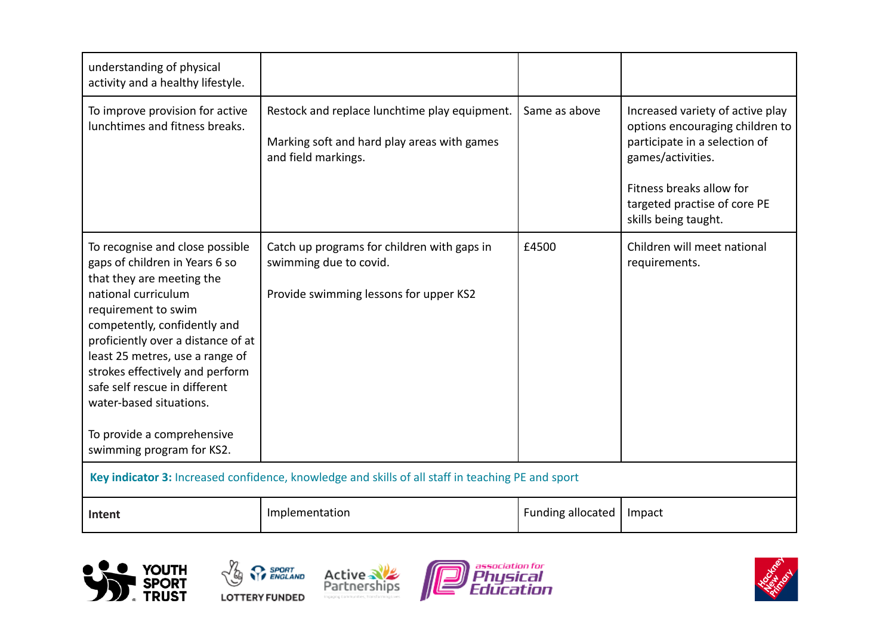| understanding of physical<br>activity and a healthy lifestyle.                                                                                                                                                                                                                                                                                                                                                  |                                                                                                                     |                   |                                                                                                                                                                                                               |
|-----------------------------------------------------------------------------------------------------------------------------------------------------------------------------------------------------------------------------------------------------------------------------------------------------------------------------------------------------------------------------------------------------------------|---------------------------------------------------------------------------------------------------------------------|-------------------|---------------------------------------------------------------------------------------------------------------------------------------------------------------------------------------------------------------|
| To improve provision for active<br>lunchtimes and fitness breaks.                                                                                                                                                                                                                                                                                                                                               | Restock and replace lunchtime play equipment.<br>Marking soft and hard play areas with games<br>and field markings. | Same as above     | Increased variety of active play<br>options encouraging children to<br>participate in a selection of<br>games/activities.<br>Fitness breaks allow for<br>targeted practise of core PE<br>skills being taught. |
| To recognise and close possible<br>gaps of children in Years 6 so<br>that they are meeting the<br>national curriculum<br>requirement to swim<br>competently, confidently and<br>proficiently over a distance of at<br>least 25 metres, use a range of<br>strokes effectively and perform<br>safe self rescue in different<br>water-based situations.<br>To provide a comprehensive<br>swimming program for KS2. | Catch up programs for children with gaps in<br>swimming due to covid.<br>Provide swimming lessons for upper KS2     | £4500             | Children will meet national<br>requirements.                                                                                                                                                                  |
| Key indicator 3: Increased confidence, knowledge and skills of all staff in teaching PE and sport                                                                                                                                                                                                                                                                                                               |                                                                                                                     |                   |                                                                                                                                                                                                               |
| Intent                                                                                                                                                                                                                                                                                                                                                                                                          | Implementation                                                                                                      | Funding allocated | Impact                                                                                                                                                                                                        |









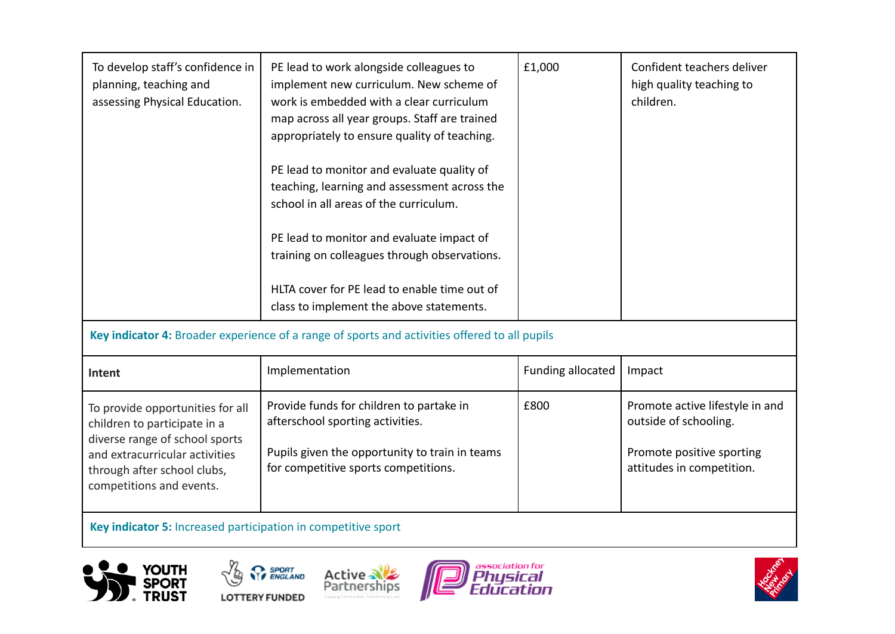| To develop staff's confidence in<br>planning, teaching and<br>assessing Physical Education.                                                                                                     | PE lead to work alongside colleagues to<br>implement new curriculum. New scheme of<br>work is embedded with a clear curriculum<br>map across all year groups. Staff are trained<br>appropriately to ensure quality of teaching.<br>PE lead to monitor and evaluate quality of<br>teaching, learning and assessment across the<br>school in all areas of the curriculum.<br>PE lead to monitor and evaluate impact of<br>training on colleagues through observations.<br>HLTA cover for PE lead to enable time out of<br>class to implement the above statements. | £1,000                   | Confident teachers deliver<br>high quality teaching to<br>children.                                                |
|-------------------------------------------------------------------------------------------------------------------------------------------------------------------------------------------------|------------------------------------------------------------------------------------------------------------------------------------------------------------------------------------------------------------------------------------------------------------------------------------------------------------------------------------------------------------------------------------------------------------------------------------------------------------------------------------------------------------------------------------------------------------------|--------------------------|--------------------------------------------------------------------------------------------------------------------|
| Key indicator 4: Broader experience of a range of sports and activities offered to all pupils                                                                                                   |                                                                                                                                                                                                                                                                                                                                                                                                                                                                                                                                                                  |                          |                                                                                                                    |
| Intent                                                                                                                                                                                          | Implementation                                                                                                                                                                                                                                                                                                                                                                                                                                                                                                                                                   | <b>Funding allocated</b> | Impact                                                                                                             |
| To provide opportunities for all<br>children to participate in a<br>diverse range of school sports<br>and extracurricular activities<br>through after school clubs,<br>competitions and events. | Provide funds for children to partake in<br>afterschool sporting activities.<br>Pupils given the opportunity to train in teams<br>for competitive sports competitions.                                                                                                                                                                                                                                                                                                                                                                                           | £800                     | Promote active lifestyle in and<br>outside of schooling.<br>Promote positive sporting<br>attitudes in competition. |

**Key indicator 5:** Increased participation in competitive sport